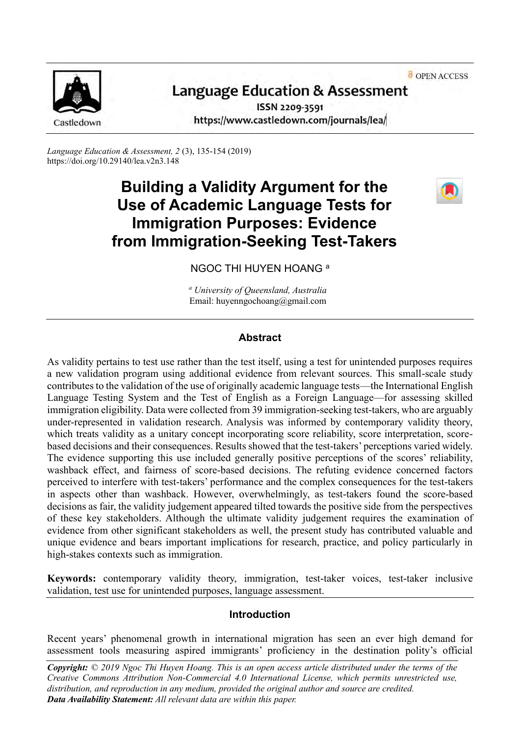OPEN ACCESS



# **Language Education & Assessment**

ISSN 2209-3591 https://www.castledown.com/journals/lea/

*Language Education & Assessment, 2* (3), 135-154 (2019) https://doi.org/10.29140/lea.v2n3.148

# **Building a Validity Argument for the Use of Academic Language Tests for Immigration Purposes: Evidence from Immigration-Seeking Test-Takers**



NGOC THI HUYEN HOANG <sup>a</sup>

*<sup>a</sup> University of Queensland, Australia* Email: huyenngochoang@gmail.com

## **Abstract**

As validity pertains to test use rather than the test itself, using a test for unintended purposes requires a new validation program using additional evidence from relevant sources. This small-scale study contributes to the validation of the use of originally academic language tests—the International English Language Testing System and the Test of English as a Foreign Language—for assessing skilled immigration eligibility. Data were collected from 39 immigration-seeking test-takers, who are arguably under-represented in validation research. Analysis was informed by contemporary validity theory, which treats validity as a unitary concept incorporating score reliability, score interpretation, scorebased decisions and their consequences. Results showed that the test-takers' perceptions varied widely. The evidence supporting this use included generally positive perceptions of the scores' reliability, washback effect, and fairness of score-based decisions. The refuting evidence concerned factors perceived to interfere with test-takers' performance and the complex consequences for the test-takers in aspects other than washback. However, overwhelmingly, as test-takers found the score-based decisions as fair, the validity judgement appeared tilted towards the positive side from the perspectives of these key stakeholders. Although the ultimate validity judgement requires the examination of evidence from other significant stakeholders as well, the present study has contributed valuable and unique evidence and bears important implications for research, practice, and policy particularly in high-stakes contexts such as immigration.

**Keywords:** contemporary validity theory, immigration, test-taker voices, test-taker inclusive validation, test use for unintended purposes, language assessment.

#### **Introduction**

Recent years' phenomenal growth in international migration has seen an ever high demand for assessment tools measuring aspired immigrants' proficiency in the destination polity's official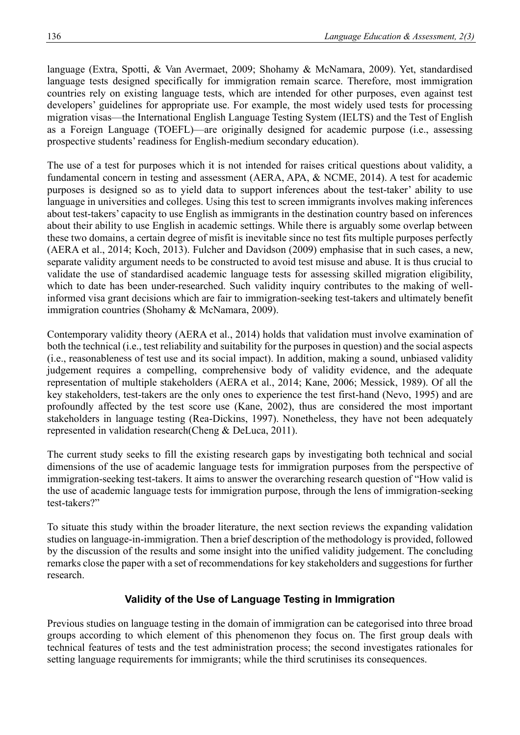language (Extra, Spotti, & Van Avermaet, 2009; Shohamy & McNamara, 2009). Yet, standardised language tests designed specifically for immigration remain scarce. Therefore, most immigration countries rely on existing language tests, which are intended for other purposes, even against test developers' guidelines for appropriate use. For example, the most widely used tests for processing migration visas—the International English Language Testing System (IELTS) and the Test of English as a Foreign Language (TOEFL)—are originally designed for academic purpose (i.e., assessing prospective students' readiness for English-medium secondary education).

The use of a test for purposes which it is not intended for raises critical questions about validity, a fundamental concern in testing and assessment (AERA, APA, & NCME, 2014). A test for academic purposes is designed so as to yield data to support inferences about the test-taker' ability to use language in universities and colleges. Using this test to screen immigrants involves making inferences about test-takers' capacity to use English as immigrants in the destination country based on inferences about their ability to use English in academic settings. While there is arguably some overlap between these two domains, a certain degree of misfit is inevitable since no test fits multiple purposes perfectly (AERA et al., 2014; Koch, 2013). Fulcher and Davidson (2009) emphasise that in such cases, a new, separate validity argument needs to be constructed to avoid test misuse and abuse. It is thus crucial to validate the use of standardised academic language tests for assessing skilled migration eligibility, which to date has been under-researched. Such validity inquiry contributes to the making of wellinformed visa grant decisions which are fair to immigration-seeking test-takers and ultimately benefit immigration countries (Shohamy & McNamara, 2009).

Contemporary validity theory (AERA et al., 2014) holds that validation must involve examination of both the technical (i.e., test reliability and suitability for the purposes in question) and the social aspects (i.e., reasonableness of test use and its social impact). In addition, making a sound, unbiased validity judgement requires a compelling, comprehensive body of validity evidence, and the adequate representation of multiple stakeholders (AERA et al., 2014; Kane, 2006; Messick, 1989). Of all the key stakeholders, test-takers are the only ones to experience the test first-hand (Nevo, 1995) and are profoundly affected by the test score use (Kane, 2002), thus are considered the most important stakeholders in language testing (Rea-Dickins, 1997). Nonetheless, they have not been adequately represented in validation research(Cheng & DeLuca, 2011).

The current study seeks to fill the existing research gaps by investigating both technical and social dimensions of the use of academic language tests for immigration purposes from the perspective of immigration-seeking test-takers. It aims to answer the overarching research question of "How valid is the use of academic language tests for immigration purpose, through the lens of immigration-seeking test-takers?"

To situate this study within the broader literature, the next section reviews the expanding validation studies on language-in-immigration. Then a brief description of the methodology is provided, followed by the discussion of the results and some insight into the unified validity judgement. The concluding remarks close the paper with a set of recommendations for key stakeholders and suggestions for further research.

# **Validity of the Use of Language Testing in Immigration**

Previous studies on language testing in the domain of immigration can be categorised into three broad groups according to which element of this phenomenon they focus on. The first group deals with technical features of tests and the test administration process; the second investigates rationales for setting language requirements for immigrants; while the third scrutinises its consequences.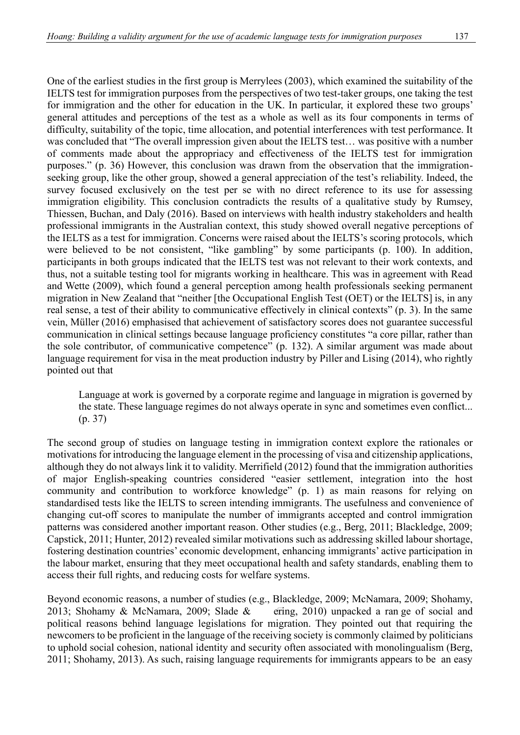One of the earliest studies in the first group is Merrylees (2003), which examined the suitability of the IELTS test for immigration purposes from the perspectives of two test-taker groups, one taking the test for immigration and the other for education in the UK. In particular, it explored these two groups' general attitudes and perceptions of the test as a whole as well as its four components in terms of difficulty, suitability of the topic, time allocation, and potential interferences with test performance. It was concluded that "The overall impression given about the IELTS test… was positive with a number of comments made about the appropriacy and effectiveness of the IELTS test for immigration purposes." (p. 36) However, this conclusion was drawn from the observation that the immigrationseeking group, like the other group, showed a general appreciation of the test's reliability. Indeed, the survey focused exclusively on the test per se with no direct reference to its use for assessing immigration eligibility. This conclusion contradicts the results of a qualitative study by Rumsey, Thiessen, Buchan, and Daly (2016). Based on interviews with health industry stakeholders and health professional immigrants in the Australian context, this study showed overall negative perceptions of the IELTS as a test for immigration. Concerns were raised about the IELTS's scoring protocols, which were believed to be not consistent, "like gambling" by some participants (p. 100). In addition, participants in both groups indicated that the IELTS test was not relevant to their work contexts, and thus, not a suitable testing tool for migrants working in healthcare. This was in agreement with Read and Wette (2009), which found a general perception among health professionals seeking permanent migration in New Zealand that "neither [the Occupational English Test (OET) or the IELTS] is, in any real sense, a test of their ability to communicative effectively in clinical contexts" (p. 3). In the same vein, Müller (2016) emphasised that achievement of satisfactory scores does not guarantee successful communication in clinical settings because language proficiency constitutes "a core pillar, rather than the sole contributor, of communicative competence" (p. 132). A similar argument was made about language requirement for visa in the meat production industry by Piller and Lising (2014), who rightly pointed out that

Language at work is governed by a corporate regime and language in migration is governed by the state. These language regimes do not always operate in sync and sometimes even conflict... (p. 37)

The second group of studies on language testing in immigration context explore the rationales or motivations for introducing the language element in the processing of visa and citizenship applications, although they do not always link it to validity. Merrifield (2012) found that the immigration authorities of major English-speaking countries considered "easier settlement, integration into the host community and contribution to workforce knowledge" (p. 1) as main reasons for relying on standardised tests like the IELTS to screen intending immigrants. The usefulness and convenience of changing cut-off scores to manipulate the number of immigrants accepted and control immigration patterns was considered another important reason. Other studies (e.g., Berg, 2011; Blackledge, 2009; Capstick, 2011; Hunter, 2012) revealed similar motivations such as addressing skilled labour shortage, fostering destination countries' economic development, enhancing immigrants' active participation in the labour market, ensuring that they meet occupational health and safety standards, enabling them to access their full rights, and reducing costs for welfare systems.

Beyond economic reasons, a number of studies (e.g., Blackledge, 2009; McNamara, 2009; Shohamy, 2013; Shohamy & McNamara, 2009; Slade & ering, 2010) unpacked a range of social and political reasons behind language legislations for migration. They pointed out that requiring the newcomers to be proficient in the language of the receiving society is commonly claimed by politicians to uphold social cohesion, national identity and security often associated with monolingualism (Berg, 2011; Shohamy, 2013). As such, raising language requirements for immigrants appears to be an easy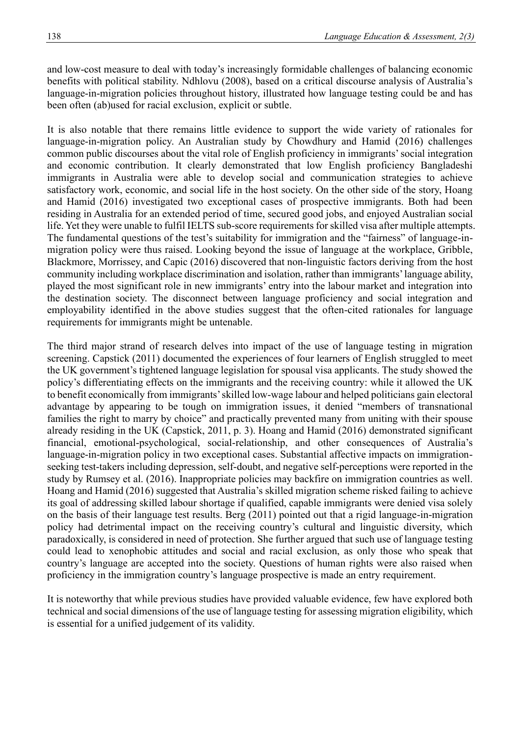and low-cost measure to deal with today's increasingly formidable challenges of balancing economic benefits with political stability. Ndhlovu (2008), based on a critical discourse analysis of Australia's language-in-migration policies throughout history, illustrated how language testing could be and has been often (ab)used for racial exclusion, explicit or subtle.

It is also notable that there remains little evidence to support the wide variety of rationales for language-in-migration policy. An Australian study by Chowdhury and Hamid (2016) challenges common public discourses about the vital role of English proficiency in immigrants' social integration and economic contribution. It clearly demonstrated that low English proficiency Bangladeshi immigrants in Australia were able to develop social and communication strategies to achieve satisfactory work, economic, and social life in the host society. On the other side of the story, Hoang and Hamid (2016) investigated two exceptional cases of prospective immigrants. Both had been residing in Australia for an extended period of time, secured good jobs, and enjoyed Australian social life. Yet they were unable to fulfil IELTS sub-score requirements for skilled visa after multiple attempts. The fundamental questions of the test's suitability for immigration and the "fairness" of language-inmigration policy were thus raised. Looking beyond the issue of language at the workplace, Gribble, Blackmore, Morrissey, and Capic (2016) discovered that non-linguistic factors deriving from the host community including workplace discrimination and isolation, rather than immigrants' language ability, played the most significant role in new immigrants' entry into the labour market and integration into the destination society. The disconnect between language proficiency and social integration and employability identified in the above studies suggest that the often-cited rationales for language requirements for immigrants might be untenable.

The third major strand of research delves into impact of the use of language testing in migration screening. Capstick (2011) documented the experiences of four learners of English struggled to meet the UK government's tightened language legislation for spousal visa applicants. The study showed the policy's differentiating effects on the immigrants and the receiving country: while it allowed the UK to benefit economically from immigrants' skilled low-wage labour and helped politicians gain electoral advantage by appearing to be tough on immigration issues, it denied "members of transnational families the right to marry by choice" and practically prevented many from uniting with their spouse already residing in the UK (Capstick, 2011, p. 3). Hoang and Hamid (2016) demonstrated significant financial, emotional-psychological, social-relationship, and other consequences of Australia's language-in-migration policy in two exceptional cases. Substantial affective impacts on immigrationseeking test-takers including depression, self-doubt, and negative self-perceptions were reported in the study by Rumsey et al. (2016). Inappropriate policies may backfire on immigration countries as well. Hoang and Hamid (2016) suggested that Australia's skilled migration scheme risked failing to achieve its goal of addressing skilled labour shortage if qualified, capable immigrants were denied visa solely on the basis of their language test results. Berg (2011) pointed out that a rigid language-in-migration policy had detrimental impact on the receiving country's cultural and linguistic diversity, which paradoxically, is considered in need of protection. She further argued that such use of language testing could lead to xenophobic attitudes and social and racial exclusion, as only those who speak that country's language are accepted into the society. Questions of human rights were also raised when proficiency in the immigration country's language prospective is made an entry requirement.

It is noteworthy that while previous studies have provided valuable evidence, few have explored both technical and social dimensions of the use of language testing for assessing migration eligibility, which is essential for a unified judgement of its validity.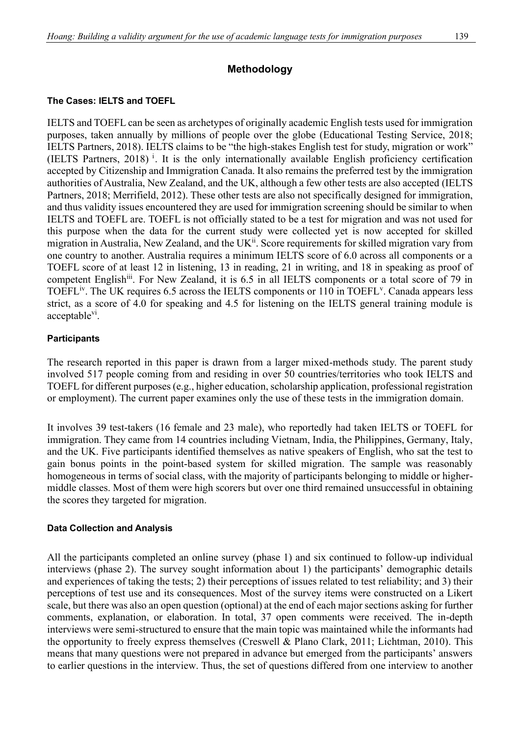# **Methodology**

## **The Cases: IELTS and TOEFL**

IELTS and TOEFL can be seen as archetypes of originally academic English tests used for immigration purposes, taken annually by millions of people over the globe (Educational Testing Service, 2018; IELTS Partners, 2018). IELTS claims to be "the high-stakes English test for [study,](http://www.ielts.org/what-is-ielts/ielts-for-study) [migration](https://www.ielts.org/what-is-ielts/ielts-for-migration) or [work"](http://www.ielts.org/what-is-ielts/ielts-for-work) (IELTS Partners, 2018)<sup>1</sup>. It is the only internationally available English proficiency certification accepted by Citizenship and Immigration Canada. It also remains the preferred test by the immigration authorities of Australia, New Zealand, and the UK, although a few other tests are also accepted (IELTS Partners, 2018; Merrifield, 2012). These other tests are also not specifically designed for immigration, and thus validity issues encountered they are used for immigration screening should be similar to when IELTS and TOEFL are. TOEFL is not officially stated to be a test for migration and was not used for this purpose when the data for the current study were collected yet is now accepted for skilled migration in Australia, New Zealand, and the UK<sup>ii</sup>. Score requirements for skilled migration vary from one country to another. Australia requires a minimum IELTS score of 6.0 across all components or a TOEFL score of at least 12 in listening, 13 in reading, 21 in writing, and 18 in speaking as proof of competent English<sup>iii</sup>. For New Zealand, it is 6.5 in all IELTS components or a total score of 79 in TOEFL<sup>iv</sup>. The UK requires 6.5 across the IELTS components or 110 in TOEFL<sup>V</sup>. Canada appears less strict, as a score of 4.0 for speaking and 4.5 for listening on the IELTS general training module is acceptable<sup>vi</sup>.

## **Participants**

The research reported in this paper is drawn from a larger mixed-methods study. The parent study involved 517 people coming from and residing in over 50 countries/territories who took IELTS and TOEFL for different purposes (e.g., higher education, scholarship application, professional registration or employment). The current paper examines only the use of these tests in the immigration domain.

It involves 39 test-takers (16 female and 23 male), who reportedly had taken IELTS or TOEFL for immigration. They came from 14 countries including Vietnam, India, the Philippines, Germany, Italy, and the UK. Five participants identified themselves as native speakers of English, who sat the test to gain bonus points in the point-based system for skilled migration. The sample was reasonably homogeneous in terms of social class, with the majority of participants belonging to middle or highermiddle classes. Most of them were high scorers but over one third remained unsuccessful in obtaining the scores they targeted for migration.

#### **Data Collection and Analysis**

All the participants completed an online survey (phase 1) and six continued to follow-up individual interviews (phase 2). The survey sought information about 1) the participants' demographic details and experiences of taking the tests; 2) their perceptions of issues related to test reliability; and 3) their perceptions of test use and its consequences. Most of the survey items were constructed on a Likert scale, but there was also an open question (optional) at the end of each major sections asking for further comments, explanation, or elaboration. In total, 37 open comments were received. The in-depth interviews were semi-structured to ensure that the main topic was maintained while the informants had the opportunity to freely express themselves (Creswell & Plano Clark, 2011; Lichtman, 2010). This means that many questions were not prepared in advance but emerged from the participants' answers to earlier questions in the interview. Thus, the set of questions differed from one interview to another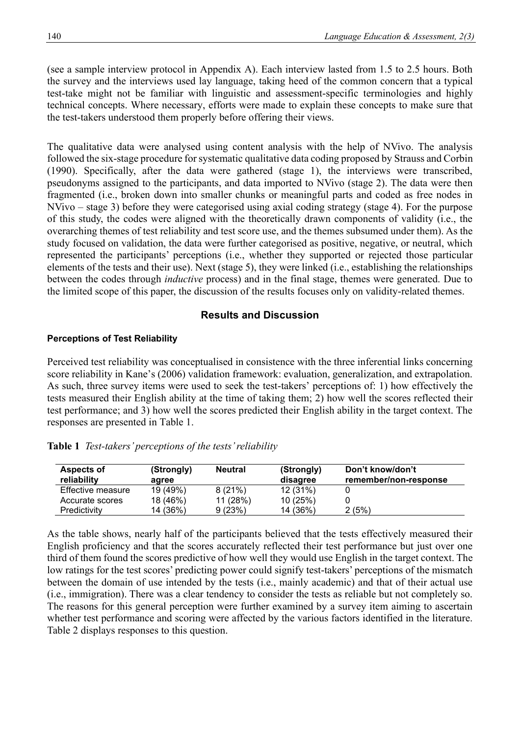(see a sample interview protocol in Appendix A). Each interview lasted from 1.5 to 2.5 hours. Both the survey and the interviews used lay language, taking heed of the common concern that a typical test-take might not be familiar with linguistic and assessment-specific terminologies and highly technical concepts. Where necessary, efforts were made to explain these concepts to make sure that the test-takers understood them properly before offering their views.

The qualitative data were analysed using content analysis with the help of NVivo. The analysis followed the six-stage procedure for systematic qualitative data coding proposed by Strauss and Corbin (1990). Specifically, after the data were gathered (stage 1), the interviews were transcribed, pseudonyms assigned to the participants, and data imported to NVivo (stage 2). The data were then fragmented (i.e., broken down into smaller chunks or meaningful parts and coded as free nodes in NVivo – stage 3) before they were categorised using axial coding strategy (stage 4). For the purpose of this study, the codes were aligned with the theoretically drawn components of validity (i.e., the overarching themes of test reliability and test score use, and the themes subsumed under them). As the study focused on validation, the data were further categorised as positive, negative, or neutral, which represented the participants' perceptions (i.e., whether they supported or rejected those particular elements of the tests and their use). Next (stage 5), they were linked (i.e., establishing the relationships between the codes through *inductive* process) and in the final stage, themes were generated. Due to the limited scope of this paper, the discussion of the results focuses only on validity-related themes.

# **Results and Discussion**

## **Perceptions of Test Reliability**

Perceived test reliability was conceptualised in consistence with the three inferential links concerning score reliability in Kane's (2006) validation framework: evaluation, generalization, and extrapolation. As such, three survey items were used to seek the test-takers' perceptions of: 1) how effectively the tests measured their English ability at the time of taking them; 2) how well the scores reflected their test performance; and 3) how well the scores predicted their English ability in the target context. The responses are presented in Table 1.

| Aspects of<br>reliability | (Strongly)<br>agree | Neutral | (Strongly)<br>disagree | Don't know/don't<br>remember/non-response |
|---------------------------|---------------------|---------|------------------------|-------------------------------------------|
| Effective measure         | 19 (49%)            | 8(21%)  | 12(31%)                |                                           |
| Accurate scores           | 18 (46%)            | 11(28%) | 10(25%)                |                                           |
| Predictivity              | 14 (36%)            | 9(23%)  | 14 (36%)               | 2(5%)                                     |

**Table 1** *Test-takers' perceptions of the tests' reliability*

As the table shows, nearly half of the participants believed that the tests effectively measured their English proficiency and that the scores accurately reflected their test performance but just over one third of them found the scores predictive of how well they would use English in the target context. The low ratings for the test scores' predicting power could signify test-takers' perceptions of the mismatch between the domain of use intended by the tests (i.e., mainly academic) and that of their actual use (i.e., immigration). There was a clear tendency to consider the tests as reliable but not completely so. The reasons for this general perception were further examined by a survey item aiming to ascertain whether test performance and scoring were affected by the various factors identified in the literature. Table 2 displays responses to this question.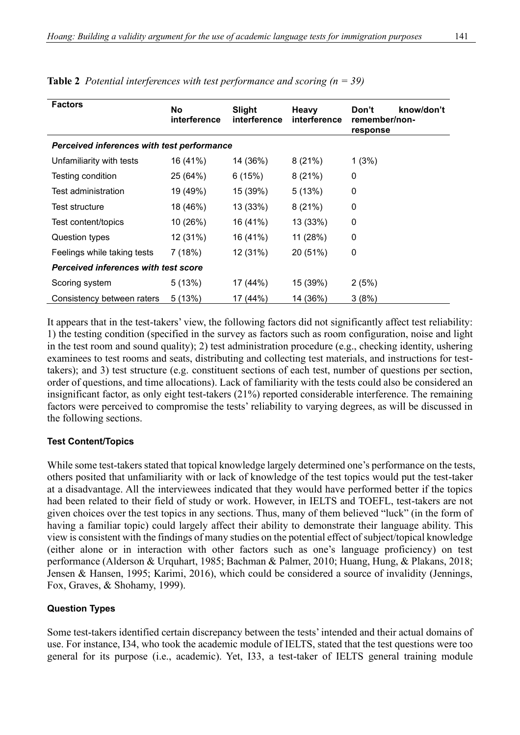| <b>Factors</b>                             | No<br>interference | <b>Slight</b><br>interference | <b>Heavy</b><br>interference | know/don't<br>Don't<br>remember/non-<br>response |
|--------------------------------------------|--------------------|-------------------------------|------------------------------|--------------------------------------------------|
| Perceived inferences with test performance |                    |                               |                              |                                                  |
| Unfamiliarity with tests                   | 16 (41%)           | 14 (36%)                      | 8(21%)                       | 1(3%)                                            |
| Testing condition                          | 25 (64%)           | 6(15%)                        | 8(21%)                       | 0                                                |
| Test administration                        | 19 (49%)           | 15 (39%)                      | 5(13%)                       | 0                                                |
| <b>Test structure</b>                      | 18 (46%)           | 13 (33%)                      | 8(21%)                       | 0                                                |
| Test content/topics                        | 10 (26%)           | 16 (41%)                      | 13 (33%)                     | 0                                                |
| Question types                             | 12 (31%)           | 16 (41%)                      | 11 (28%)                     | 0                                                |
| Feelings while taking tests                | 7(18%)             | 12 (31%)                      | 20 (51%)                     | 0                                                |
| Perceived inferences with test score       |                    |                               |                              |                                                  |
| Scoring system                             | 5(13%)             | 17 (44%)                      | 15 (39%)                     | 2(5%)                                            |
| Consistency between raters                 | 5(13%)             | 17 (44%)                      | 14 (36%)                     | 3(8%)                                            |

**Table 2** *Potential interferences with test performance and scoring (n = 39)*

It appears that in the test-takers' view, the following factors did not significantly affect test reliability: 1) the testing condition (specified in the survey as factors such as room configuration, noise and light in the test room and sound quality); 2) test administration procedure (e.g., checking identity, ushering examinees to test rooms and seats, distributing and collecting test materials, and instructions for testtakers); and 3) test structure (e.g. constituent sections of each test, number of questions per section, order of questions, and time allocations). Lack of familiarity with the tests could also be considered an insignificant factor, as only eight test-takers (21%) reported considerable interference. The remaining factors were perceived to compromise the tests' reliability to varying degrees, as will be discussed in the following sections.

#### **Test Content/Topics**

While some test-takers stated that topical knowledge largely determined one's performance on the tests, others posited that unfamiliarity with or lack of knowledge of the test topics would put the test-taker at a disadvantage. All the interviewees indicated that they would have performed better if the topics had been related to their field of study or work. However, in IELTS and TOEFL, test-takers are not given choices over the test topics in any sections. Thus, many of them believed "luck" (in the form of having a familiar topic) could largely affect their ability to demonstrate their language ability. This view is consistent with the findings of many studies on the potential effect of subject/topical knowledge (either alone or in interaction with other factors such as one's language proficiency) on test performance (Alderson & Urquhart, 1985; Bachman & Palmer, 2010; Huang, Hung, & Plakans, 2018; Jensen & Hansen, 1995; Karimi, 2016), which could be considered a source of invalidity (Jennings, Fox, Graves, & Shohamy, 1999).

#### **Question Types**

Some test-takers identified certain discrepancy between the tests' intended and their actual domains of use. For instance, I34, who took the academic module of IELTS, stated that the test questions were too general for its purpose (i.e., academic). Yet, I33, a test-taker of IELTS general training module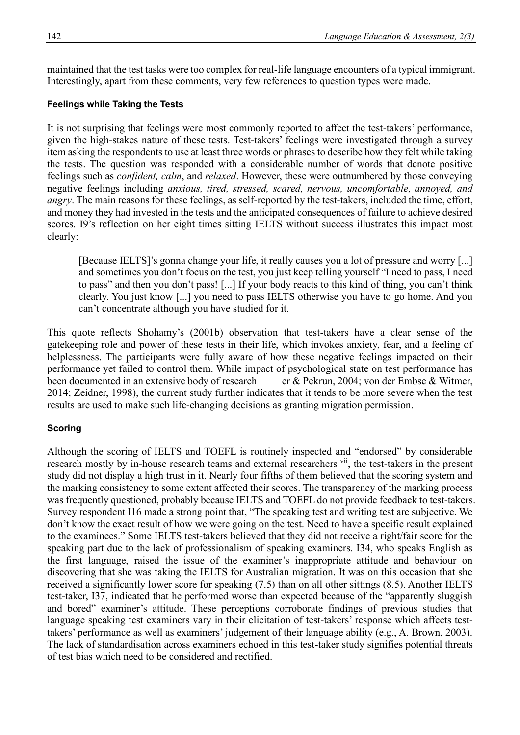maintained that the test tasks were too complex for real-life language encounters of a typical immigrant. Interestingly, apart from these comments, very few references to question types were made.

## **Feelings while Taking the Tests**

It is not surprising that feelings were most commonly reported to affect the test-takers' performance, given the high-stakes nature of these tests. Test-takers' feelings were investigated through a survey item asking the respondents to use at least three words or phrases to describe how they felt while taking the tests. The question was responded with a considerable number of words that denote positive feelings such as *confident, calm*, and *relaxed*. However, these were outnumbered by those conveying negative feelings including *anxious, tired, stressed, scared, nervous, uncomfortable, annoyed, and angry*. The main reasons for these feelings, as self-reported by the test-takers, included the time, effort, and money they had invested in the tests and the anticipated consequences of failure to achieve desired scores. I9's reflection on her eight times sitting IELTS without success illustrates this impact most clearly:

[Because IELTS]'s gonna change your life, it really causes you a lot of pressure and worry [...] and sometimes you don't focus on the test, you just keep telling yourself "I need to pass, I need to pass" and then you don't pass! [...] If your body reacts to this kind of thing, you can't think clearly. You just know [...] you need to pass IELTS otherwise you have to go home. And you can't concentrate although you have studied for it.

This quote reflects Shohamy's (2001b) observation that test-takers have a clear sense of the gatekeeping role and power of these tests in their life, which invokes anxiety, fear, and a feeling of helplessness. The participants were fully aware of how these negative feelings impacted on their performance yet failed to control them. While impact of psychological state on test performance has been documented in an extensive body of research er & Pekrun, 2004; von der Embse & Witmer, 2014; Zeidner, 1998), the current study further indicates that it tends to be more severe when the test results are used to make such life-changing decisions as granting migration permission.

## **Scoring**

Although the scoring of IELTS and TOEFL is routinely inspected and "endorsed" by considerable research mostly by in-house research teams and external researchers vii, the test-takers in the present study did not display a high trust in it. Nearly four fifths of them believed that the scoring system and the marking consistency to some extent affected their scores. The transparency of the marking process was frequently questioned, probably because IELTS and TOEFL do not provide feedback to test-takers. Survey respondent I16 made a strong point that, "The speaking test and writing test are subjective. We don't know the exact result of how we were going on the test. Need to have a specific result explained to the examinees." Some IELTS test-takers believed that they did not receive a right/fair score for the speaking part due to the lack of professionalism of speaking examiners. I34, who speaks English as the first language, raised the issue of the examiner's inappropriate attitude and behaviour on discovering that she was taking the IELTS for Australian migration. It was on this occasion that she received a significantly lower score for speaking (7.5) than on all other sittings (8.5). Another IELTS test-taker, I37, indicated that he performed worse than expected because of the "apparently sluggish and bored" examiner's attitude. These perceptions corroborate findings of previous studies that language speaking test examiners vary in their elicitation of test-takers' response which affects testtakers' performance as well as examiners' judgement of their language ability (e.g., A. Brown, 2003). The lack of standardisation across examiners echoed in this test-taker study signifies potential threats of test bias which need to be considered and rectified.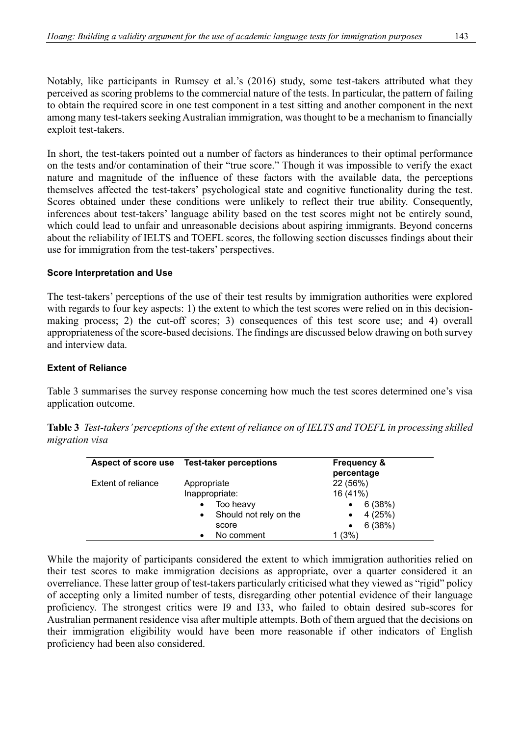Notably, like participants in Rumsey et al.'s (2016) study, some test-takers attributed what they perceived as scoring problems to the commercial nature of the tests. In particular, the pattern of failing to obtain the required score in one test component in a test sitting and another component in the next among many test-takers seeking Australian immigration, was thought to be a mechanism to financially exploit test-takers.

In short, the test-takers pointed out a number of factors as hinderances to their optimal performance on the tests and/or contamination of their "true score." Though it was impossible to verify the exact nature and magnitude of the influence of these factors with the available data, the perceptions themselves affected the test-takers' psychological state and cognitive functionality during the test. Scores obtained under these conditions were unlikely to reflect their true ability. Consequently, inferences about test-takers' language ability based on the test scores might not be entirely sound, which could lead to unfair and unreasonable decisions about aspiring immigrants. Beyond concerns about the reliability of IELTS and TOEFL scores, the following section discusses findings about their use for immigration from the test-takers' perspectives.

## **Score Interpretation and Use**

The test-takers' perceptions of the use of their test results by immigration authorities were explored with regards to four key aspects: 1) the extent to which the test scores were relied on in this decisionmaking process; 2) the cut-off scores; 3) consequences of this test score use; and 4) overall appropriateness of the score-based decisions. The findings are discussed below drawing on both survey and interview data.

#### **Extent of Reliance**

Table 3 summarises the survey response concerning how much the test scores determined one's visa application outcome.

|                           | Aspect of score use Test-taker perceptions   | <b>Frequency &amp;</b><br>percentage<br>22 (56%)<br>16 (41%) |  |
|---------------------------|----------------------------------------------|--------------------------------------------------------------|--|
| <b>Extent of reliance</b> | Appropriate<br>Inappropriate:                |                                                              |  |
|                           | Too heavy<br>$\bullet$                       | 6(38%)<br>$\bullet$                                          |  |
|                           | Should not rely on the<br>$\bullet$<br>score | 4(25%)<br>$\bullet$<br>6(38%)<br>$\bullet$                   |  |
|                           | No comment                                   | (3%)                                                         |  |

**Table 3** *Test-takers' perceptions of the extent of reliance on of IELTS and TOEFL in processing skilled migration visa*

While the majority of participants considered the extent to which immigration authorities relied on their test scores to make immigration decisions as appropriate, over a quarter considered it an overreliance. These latter group of test-takers particularly criticised what they viewed as "rigid" policy of accepting only a limited number of tests, disregarding other potential evidence of their language proficiency. The strongest critics were I9 and I33, who failed to obtain desired sub-scores for Australian permanent residence visa after multiple attempts. Both of them argued that the decisions on their immigration eligibility would have been more reasonable if other indicators of English proficiency had been also considered.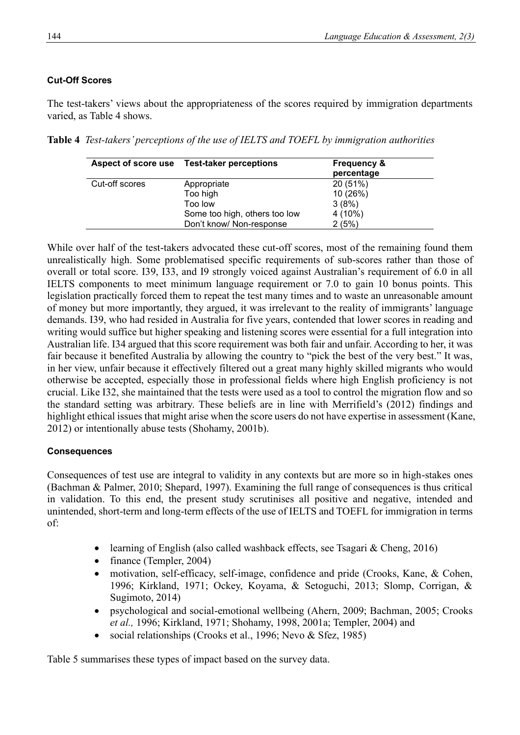## **Cut-Off Scores**

The test-takers' views about the appropriateness of the scores required by immigration departments varied, as Table 4 shows.

**Table 4** *Test-takers' perceptions of the use of IELTS and TOEFL by immigration authorities*

| Aspect of score use | <b>Test-taker perceptions</b> | <b>Frequency &amp;</b><br>percentage |
|---------------------|-------------------------------|--------------------------------------|
| Cut-off scores      | Appropriate                   | 20 (51%)                             |
|                     | Too high                      | 10 (26%)                             |
|                     | Too low                       | 3(8%)                                |
|                     | Some too high, others too low | $4(10\%)$                            |
|                     | Don't know/ Non-response      | 2(5%)                                |

While over half of the test-takers advocated these cut-off scores, most of the remaining found them unrealistically high. Some problematised specific requirements of sub-scores rather than those of overall or total score. I39, I33, and I9 strongly voiced against Australian's requirement of 6.0 in all IELTS components to meet minimum language requirement or 7.0 to gain 10 bonus points. This legislation practically forced them to repeat the test many times and to waste an unreasonable amount of money but more importantly, they argued, it was irrelevant to the reality of immigrants' language demands. I39, who had resided in Australia for five years, contended that lower scores in reading and writing would suffice but higher speaking and listening scores were essential for a full integration into Australian life. I34 argued that this score requirement was both fair and unfair. According to her, it was fair because it benefited Australia by allowing the country to "pick the best of the very best." It was, in her view, unfair because it effectively filtered out a great many highly skilled migrants who would otherwise be accepted, especially those in professional fields where high English proficiency is not crucial. Like I32, she maintained that the tests were used as a tool to control the migration flow and so the standard setting was arbitrary. These beliefs are in line with Merrifield's (2012) findings and highlight ethical issues that might arise when the score users do not have expertise in assessment (Kane, 2012) or intentionally abuse tests (Shohamy, 2001b).

#### **Consequences**

Consequences of test use are integral to validity in any contexts but are more so in high-stakes ones (Bachman & Palmer, 2010; Shepard, 1997). Examining the full range of consequences is thus critical in validation. To this end, the present study scrutinises all positive and negative, intended and unintended, short-term and long-term effects of the use of IELTS and TOEFL for immigration in terms of:

- learning of English (also called washback effects, see Tsagari & Cheng, 2016)
- finance (Templer, 2004)
- motivation, self-efficacy, self-image, confidence and pride (Crooks, Kane, & Cohen, 1996; Kirkland, 1971; Ockey, Koyama, & Setoguchi, 2013; Slomp, Corrigan, & Sugimoto, 2014)
- psychological and social-emotional wellbeing (Ahern, 2009; Bachman, 2005; Crooks *et al.,* 1996; Kirkland, 1971; Shohamy, 1998, 2001a; Templer, 2004) and
- social relationships (Crooks et al., 1996; Nevo & Sfez, 1985)

Table 5 summarises these types of impact based on the survey data.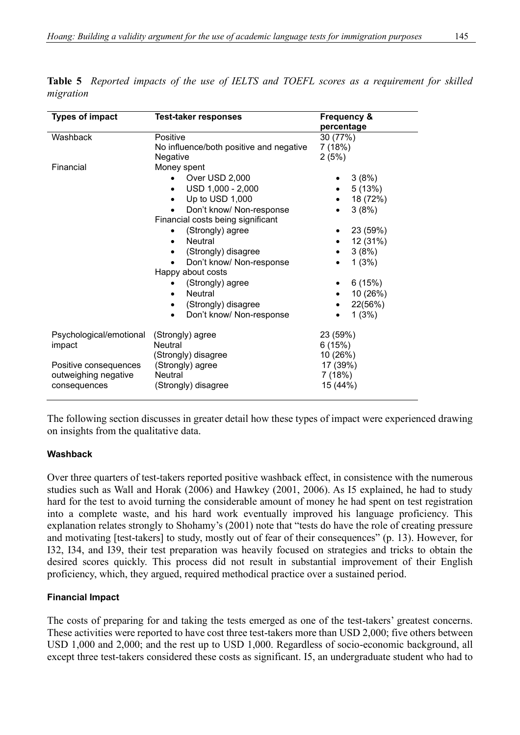| <b>Types of impact</b>                                                             | <b>Test-taker responses</b>                                                                                                                                                                                                                                                                                                                                                                            | Frequency &<br>percentage<br>30 (77%)<br>7(18%)<br>2(5%)                                                                 |  |
|------------------------------------------------------------------------------------|--------------------------------------------------------------------------------------------------------------------------------------------------------------------------------------------------------------------------------------------------------------------------------------------------------------------------------------------------------------------------------------------------------|--------------------------------------------------------------------------------------------------------------------------|--|
| Washback                                                                           | Positive<br>No influence/both positive and negative<br>Negative                                                                                                                                                                                                                                                                                                                                        |                                                                                                                          |  |
| Financial                                                                          | Money spent<br>Over USD 2,000<br>$\bullet$<br>USD 1,000 - 2,000<br>Up to USD 1,000<br>Don't know/ Non-response<br>Financial costs being significant<br>(Strongly) agree<br><b>Neutral</b><br>$\bullet$<br>(Strongly) disagree<br>$\bullet$<br>Don't know/ Non-response<br>Happy about costs<br>(Strongly) agree<br><b>Neutral</b><br>$\bullet$<br>(Strongly) disagree<br>٠<br>Don't know/ Non-response | 3(8%)<br>5(13%)<br>18 (72%)<br>3(8%)<br>23 (59%)<br>12 (31%)<br>3(8%)<br>1(3%)<br>6(15%)<br>10 (26%)<br>22(56%)<br>1(3%) |  |
| Psychological/emotional<br>impact<br>Positive consequences<br>outweighing negative | (Strongly) agree<br><b>Neutral</b><br>(Strongly) disagree<br>(Strongly) agree<br><b>Neutral</b>                                                                                                                                                                                                                                                                                                        | 23 (59%)<br>6(15%)<br>10 (26%)<br>17 (39%)<br>7(18%)                                                                     |  |
| consequences                                                                       | (Strongly) disagree                                                                                                                                                                                                                                                                                                                                                                                    | 15 (44%)                                                                                                                 |  |

**Table 5** *Reported impacts of the use of IELTS and TOEFL scores as a requirement for skilled migration*

The following section discusses in greater detail how these types of impact were experienced drawing on insights from the qualitative data.

#### **Washback**

Over three quarters of test-takers reported positive washback effect, in consistence with the numerous studies such as Wall and Horak (2006) and Hawkey (2001, 2006). As I5 explained, he had to study hard for the test to avoid turning the considerable amount of money he had spent on test registration into a complete waste, and his hard work eventually improved his language proficiency. This explanation relates strongly to Shohamy's (2001) note that "tests do have the role of creating pressure and motivating [test-takers] to study, mostly out of fear of their consequences" (p. 13). However, for I32, I34, and I39, their test preparation was heavily focused on strategies and tricks to obtain the desired scores quickly. This process did not result in substantial improvement of their English proficiency, which, they argued, required methodical practice over a sustained period.

## **Financial Impact**

The costs of preparing for and taking the tests emerged as one of the test-takers' greatest concerns. These activities were reported to have cost three test-takers more than USD 2,000; five others between USD 1,000 and 2,000; and the rest up to USD 1,000. Regardless of socio-economic background, all except three test-takers considered these costs as significant. I5, an undergraduate student who had to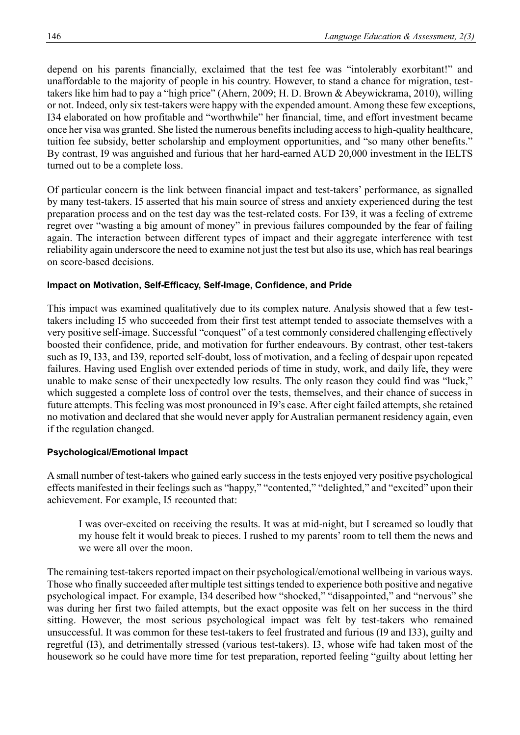depend on his parents financially, exclaimed that the test fee was "intolerably exorbitant!" and unaffordable to the majority of people in his country. However, to stand a chance for migration, testtakers like him had to pay a "high price" (Ahern, 2009; H. D. Brown & Abeywickrama, 2010), willing or not. Indeed, only six test-takers were happy with the expended amount. Among these few exceptions, I34 elaborated on how profitable and "worthwhile" her financial, time, and effort investment became once her visa was granted. She listed the numerous benefits including access to high-quality healthcare, tuition fee subsidy, better scholarship and employment opportunities, and "so many other benefits." By contrast, I9 was anguished and furious that her hard-earned AUD 20,000 investment in the IELTS turned out to be a complete loss.

Of particular concern is the link between financial impact and test-takers' performance, as signalled by many test-takers. I5 asserted that his main source of stress and anxiety experienced during the test preparation process and on the test day was the test-related costs. For I39, it was a feeling of extreme regret over "wasting a big amount of money" in previous failures compounded by the fear of failing again. The interaction between different types of impact and their aggregate interference with test reliability again underscore the need to examine not just the test but also its use, which has real bearings on score-based decisions.

#### **Impact on Motivation, Self-Efficacy, Self-Image, Confidence, and Pride**

This impact was examined qualitatively due to its complex nature. Analysis showed that a few testtakers including I5 who succeeded from their first test attempt tended to associate themselves with a very positive self-image. Successful "conquest" of a test commonly considered challenging effectively boosted their confidence, pride, and motivation for further endeavours. By contrast, other test-takers such as I9, I33, and I39, reported self-doubt, loss of motivation, and a feeling of despair upon repeated failures. Having used English over extended periods of time in study, work, and daily life, they were unable to make sense of their unexpectedly low results. The only reason they could find was "luck," which suggested a complete loss of control over the tests, themselves, and their chance of success in future attempts. This feeling was most pronounced in I9's case. After eight failed attempts, she retained no motivation and declared that she would never apply for Australian permanent residency again, even if the regulation changed.

#### **Psychological/Emotional Impact**

A small number of test-takers who gained early success in the tests enjoyed very positive psychological effects manifested in their feelings such as "happy," "contented," "delighted," and "excited" upon their achievement. For example, I5 recounted that:

I was over-excited on receiving the results. It was at mid-night, but I screamed so loudly that my house felt it would break to pieces. I rushed to my parents' room to tell them the news and we were all over the moon.

The remaining test-takers reported impact on their psychological/emotional wellbeing in various ways. Those who finally succeeded after multiple test sittings tended to experience both positive and negative psychological impact. For example, I34 described how "shocked," "disappointed," and "nervous" she was during her first two failed attempts, but the exact opposite was felt on her success in the third sitting. However, the most serious psychological impact was felt by test-takers who remained unsuccessful. It was common for these test-takers to feel frustrated and furious (I9 and I33), guilty and regretful (I3), and detrimentally stressed (various test-takers). I3, whose wife had taken most of the housework so he could have more time for test preparation, reported feeling "guilty about letting her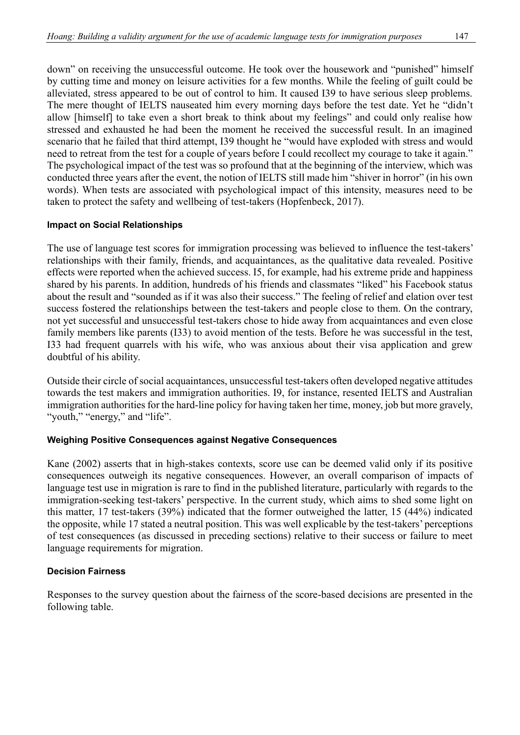down" on receiving the unsuccessful outcome. He took over the housework and "punished" himself by cutting time and money on leisure activities for a few months. While the feeling of guilt could be alleviated, stress appeared to be out of control to him. It caused I39 to have serious sleep problems. The mere thought of IELTS nauseated him every morning days before the test date. Yet he "didn't allow [himself] to take even a short break to think about my feelings" and could only realise how stressed and exhausted he had been the moment he received the successful result. In an imagined scenario that he failed that third attempt, I39 thought he "would have exploded with stress and would need to retreat from the test for a couple of years before I could recollect my courage to take it again." The psychological impact of the test was so profound that at the beginning of the interview, which was conducted three years after the event, the notion of IELTS still made him "shiver in horror" (in his own words). When tests are associated with psychological impact of this intensity, measures need to be taken to protect the safety and wellbeing of test-takers (Hopfenbeck, 2017).

## **Impact on Social Relationships**

The use of language test scores for immigration processing was believed to influence the test-takers' relationships with their family, friends, and acquaintances, as the qualitative data revealed. Positive effects were reported when the achieved success. I5, for example, had his extreme pride and happiness shared by his parents. In addition, hundreds of his friends and classmates "liked" his Facebook status about the result and "sounded as if it was also their success." The feeling of relief and elation over test success fostered the relationships between the test-takers and people close to them. On the contrary, not yet successful and unsuccessful test-takers chose to hide away from acquaintances and even close family members like parents (I33) to avoid mention of the tests. Before he was successful in the test, I33 had frequent quarrels with his wife, who was anxious about their visa application and grew doubtful of his ability.

Outside their circle of social acquaintances, unsuccessful test-takers often developed negative attitudes towards the test makers and immigration authorities. I9, for instance, resented IELTS and Australian immigration authorities for the hard-line policy for having taken her time, money, job but more gravely, "youth," "energy," and "life".

## **Weighing Positive Consequences against Negative Consequences**

Kane (2002) asserts that in high-stakes contexts, score use can be deemed valid only if its positive consequences outweigh its negative consequences. However, an overall comparison of impacts of language test use in migration is rare to find in the published literature, particularly with regards to the immigration-seeking test-takers' perspective. In the current study, which aims to shed some light on this matter, 17 test-takers (39%) indicated that the former outweighed the latter, 15 (44%) indicated the opposite, while 17 stated a neutral position. This was well explicable by the test-takers' perceptions of test consequences (as discussed in preceding sections) relative to their success or failure to meet language requirements for migration.

#### **Decision Fairness**

Responses to the survey question about the fairness of the score-based decisions are presented in the following table.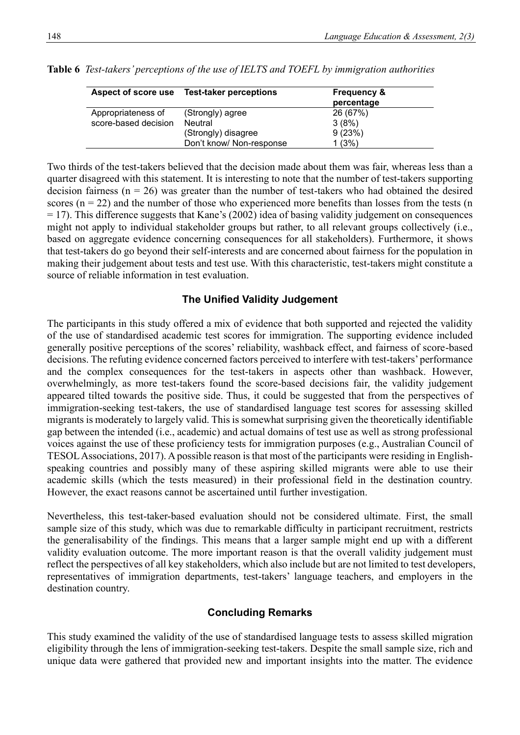|                      | Aspect of score use Test-taker perceptions | <b>Frequency &amp;</b><br>percentage |
|----------------------|--------------------------------------------|--------------------------------------|
| Appropriateness of   | (Strongly) agree                           | 26 (67%)                             |
| score-based decision | Neutral                                    | 3(8%)                                |
|                      | (Strongly) disagree                        | 9(23%)                               |
|                      | Don't know/ Non-response                   | 1(3%)                                |

**Table 6** *Test-takers' perceptions of the use of IELTS and TOEFL by immigration authorities*

Two thirds of the test-takers believed that the decision made about them was fair, whereas less than a quarter disagreed with this statement. It is interesting to note that the number of test-takers supporting decision fairness ( $n = 26$ ) was greater than the number of test-takers who had obtained the desired scores ( $n = 22$ ) and the number of those who experienced more benefits than losses from the tests ( $n$ ) = 17). This difference suggests that Kane's (2002) idea of basing validity judgement on consequences might not apply to individual stakeholder groups but rather, to all relevant groups collectively (i.e., based on aggregate evidence concerning consequences for all stakeholders). Furthermore, it shows that test-takers do go beyond their self-interests and are concerned about fairness for the population in making their judgement about tests and test use. With this characteristic, test-takers might constitute a source of reliable information in test evaluation.

## **The Unified Validity Judgement**

The participants in this study offered a mix of evidence that both supported and rejected the validity of the use of standardised academic test scores for immigration. The supporting evidence included generally positive perceptions of the scores' reliability, washback effect, and fairness of score-based decisions. The refuting evidence concerned factors perceived to interfere with test-takers' performance and the complex consequences for the test-takers in aspects other than washback. However, overwhelmingly, as more test-takers found the score-based decisions fair, the validity judgement appeared tilted towards the positive side. Thus, it could be suggested that from the perspectives of immigration-seeking test-takers, the use of standardised language test scores for assessing skilled migrants is moderately to largely valid. This is somewhat surprising given the theoretically identifiable gap between the intended (i.e., academic) and actual domains of test use as well as strong professional voices against the use of these proficiency tests for immigration purposes (e.g., Australian Council of TESOL Associations, 2017). A possible reason is that most of the participants were residing in Englishspeaking countries and possibly many of these aspiring skilled migrants were able to use their academic skills (which the tests measured) in their professional field in the destination country. However, the exact reasons cannot be ascertained until further investigation.

Nevertheless, this test-taker-based evaluation should not be considered ultimate. First, the small sample size of this study, which was due to remarkable difficulty in participant recruitment, restricts the generalisability of the findings. This means that a larger sample might end up with a different validity evaluation outcome. The more important reason is that the overall validity judgement must reflect the perspectives of all key stakeholders, which also include but are not limited to test developers, representatives of immigration departments, test-takers' language teachers, and employers in the destination country.

# **Concluding Remarks**

This study examined the validity of the use of standardised language tests to assess skilled migration eligibility through the lens of immigration-seeking test-takers. Despite the small sample size, rich and unique data were gathered that provided new and important insights into the matter. The evidence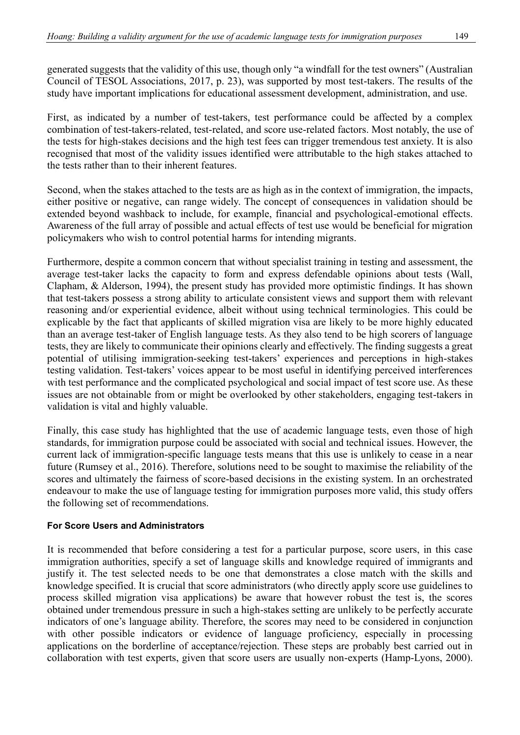generated suggests that the validity of this use, though only "a windfall for the test owners" (Australian Council of TESOL Associations, 2017, p. 23), was supported by most test-takers. The results of the study have important implications for educational assessment development, administration, and use.

First, as indicated by a number of test-takers, test performance could be affected by a complex combination of test-takers-related, test-related, and score use-related factors. Most notably, the use of the tests for high-stakes decisions and the high test fees can trigger tremendous test anxiety. It is also recognised that most of the validity issues identified were attributable to the high stakes attached to the tests rather than to their inherent features.

Second, when the stakes attached to the tests are as high as in the context of immigration, the impacts, either positive or negative, can range widely. The concept of consequences in validation should be extended beyond washback to include, for example, financial and psychological-emotional effects. Awareness of the full array of possible and actual effects of test use would be beneficial for migration policymakers who wish to control potential harms for intending migrants.

Furthermore, despite a common concern that without specialist training in testing and assessment, the average test-taker lacks the capacity to form and express defendable opinions about tests (Wall, Clapham, & Alderson, 1994), the present study has provided more optimistic findings. It has shown that test-takers possess a strong ability to articulate consistent views and support them with relevant reasoning and/or experiential evidence, albeit without using technical terminologies. This could be explicable by the fact that applicants of skilled migration visa are likely to be more highly educated than an average test-taker of English language tests. As they also tend to be high scorers of language tests, they are likely to communicate their opinions clearly and effectively. The finding suggests a great potential of utilising immigration-seeking test-takers' experiences and perceptions in high-stakes testing validation. Test-takers' voices appear to be most useful in identifying perceived interferences with test performance and the complicated psychological and social impact of test score use. As these issues are not obtainable from or might be overlooked by other stakeholders, engaging test-takers in validation is vital and highly valuable.

Finally, this case study has highlighted that the use of academic language tests, even those of high standards, for immigration purpose could be associated with social and technical issues. However, the current lack of immigration-specific language tests means that this use is unlikely to cease in a near future (Rumsey et al., 2016). Therefore, solutions need to be sought to maximise the reliability of the scores and ultimately the fairness of score-based decisions in the existing system. In an orchestrated endeavour to make the use of language testing for immigration purposes more valid, this study offers the following set of recommendations.

## **For Score Users and Administrators**

It is recommended that before considering a test for a particular purpose, score users, in this case immigration authorities, specify a set of language skills and knowledge required of immigrants and justify it. The test selected needs to be one that demonstrates a close match with the skills and knowledge specified. It is crucial that score administrators (who directly apply score use guidelines to process skilled migration visa applications) be aware that however robust the test is, the scores obtained under tremendous pressure in such a high-stakes setting are unlikely to be perfectly accurate indicators of one's language ability. Therefore, the scores may need to be considered in conjunction with other possible indicators or evidence of language proficiency, especially in processing applications on the borderline of acceptance/rejection. These steps are probably best carried out in collaboration with test experts, given that score users are usually non-experts (Hamp-Lyons, 2000).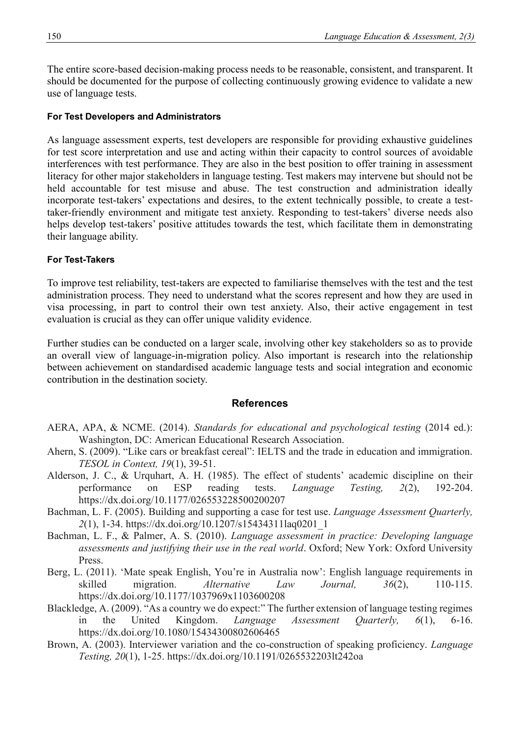The entire score-based decision-making process needs to be reasonable, consistent, and transparent. It should be documented for the purpose of collecting continuously growing evidence to validate a new use of language tests.

#### **For Test Developers and Administrators**

As language assessment experts, test developers are responsible for providing exhaustive guidelines for test score interpretation and use and acting within their capacity to control sources of avoidable interferences with test performance. They are also in the best position to offer training in assessment literacy for other major stakeholders in language testing. Test makers may intervene but should not be held accountable for test misuse and abuse. The test construction and administration ideally incorporate test-takers' expectations and desires, to the extent technically possible, to create a testtaker-friendly environment and mitigate test anxiety. Responding to test-takers' diverse needs also helps develop test-takers' positive attitudes towards the test, which facilitate them in demonstrating their language ability.

#### **For Test-Takers**

To improve test reliability, test-takers are expected to familiarise themselves with the test and the test administration process. They need to understand what the scores represent and how they are used in visa processing, in part to control their own test anxiety. Also, their active engagement in test evaluation is crucial as they can offer unique validity evidence.

Further studies can be conducted on a larger scale, involving other key stakeholders so as to provide an overall view of language-in-migration policy. Also important is research into the relationship between achievement on standardised academic language tests and social integration and economic contribution in the destination society.

#### **References**

- AERA, APA, & NCME. (2014). *Standards for educational and psychological testing* (2014 ed.): Washington, DC: American Educational Research Association.
- Ahern, S. (2009). "Like cars or breakfast cereal": IELTS and the trade in education and immigration. *TESOL in Context, 19*(1), 39-51.
- Alderson, J. C., & Urquhart, A. H. (1985). The effect of students' academic discipline on their performance on ESP reading tests. *Language Testing, 2*(2), 192-204. <https://dx.doi.org/10.1177/026553228500200207>
- Bachman, L. F. (2005). Building and supporting a case for test use. *Language Assessment Quarterly, 2*(1), 1-34. [https://dx.doi.org/10.1207/s15434311laq0201\\_1](https://dx.doi.org/10.1207/s15434311laq0201_1)
- Bachman, L. F., & Palmer, A. S. (2010). *Language assessment in practice: Developing language assessments and justifying their use in the real world*. Oxford; New York: Oxford University Press.
- Berg, L. (2011). 'Mate speak English, You're in Australia now': English language requirements in skilled migration. *Alternative Law Journal, 36*(2), 110-115. <https://dx.doi.org/10.1177/1037969x1103600208>
- Blackledge, A. (2009). "As a country we do expect:" The further extension of language testing regimes in the United Kingdom. *Language Assessment Quarterly, 6*(1), 6-16. <https://dx.doi.org/10.1080/15434300802606465>
- Brown, A. (2003). Interviewer variation and the co-construction of speaking proficiency. *Language Testing, 20*(1), 1-25.<https://dx.doi.org/10.1191/0265532203lt242oa>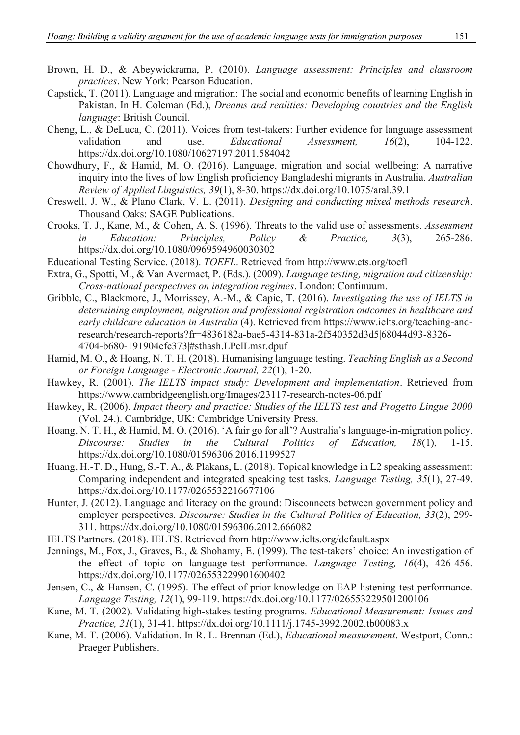- Brown, H. D., & Abeywickrama, P. (2010). *Language assessment: Principles and classroom practices*. New York: Pearson Education.
- Capstick, T. (2011). Language and migration: The social and economic benefits of learning English in Pakistan. In H. Coleman (Ed.), *Dreams and realities: Developing countries and the English language*: British Council.
- Cheng, L., & DeLuca, C. (2011). Voices from test-takers: Further evidence for language assessment validation and use. *Educational Assessment, 16*(2), 104-122. <https://dx.doi.org/10.1080/10627197.2011.584042>
- Chowdhury, F., & Hamid, M. O. (2016). Language, migration and social wellbeing: A narrative inquiry into the lives of low English proficiency Bangladeshi migrants in Australia. *Australian Review of Applied Linguistics, 39*(1), 8-30.<https://dx.doi.org/10.1075/aral.39.1>
- Creswell, J. W., & Plano Clark, V. L. (2011). *Designing and conducting mixed methods research*. Thousand Oaks: SAGE Publications.
- Crooks, T. J., Kane, M., & Cohen, A. S. (1996). Threats to the valid use of assessments. *Assessment in Education: Principles, Policy & Practice, 3*(3), 265-286. <https://dx.doi.org/10.1080/0969594960030302>
- Educational Testing Service. (2018). *TOEFL*. Retrieved from<http://www.ets.org/toefl>
- Extra, G., Spotti, M., & Van Avermaet, P. (Eds.). (2009). *Language testing, migration and citizenship: Cross-national perspectives on integration regimes*. London: Continuum.
- Gribble, C., Blackmore, J., Morrissey, A.-M., & Capic, T. (2016). *Investigating the use of IELTS in determining employment, migration and professional registration outcomes in healthcare and early childcare education in Australia* (4). Retrieved from [https://www.ielts.org/teaching-and](https://www.ielts.org/teaching-and-research/research-reports?fr=4836182a-bae5-4314-831a-2f540352d3d5|68044d93-8326-4704-b680-191904efc373|#sthash.LPclLmsr.dpuf)[research/research-reports?fr=4836182a-bae5-4314-831a-2f540352d3d5|68044d93-8326-](https://www.ielts.org/teaching-and-research/research-reports?fr=4836182a-bae5-4314-831a-2f540352d3d5|68044d93-8326-4704-b680-191904efc373|#sthash.LPclLmsr.dpuf) [4704-b680-191904efc373|#sthash.LPclLmsr.dpuf](https://www.ielts.org/teaching-and-research/research-reports?fr=4836182a-bae5-4314-831a-2f540352d3d5|68044d93-8326-4704-b680-191904efc373|#sthash.LPclLmsr.dpuf)
- Hamid, M. O., & Hoang, N. T. H. (2018). Humanising language testing. *Teaching English as a Second or Foreign Language - Electronic Journal, 22*(1), 1-20.
- Hawkey, R. (2001). *The IELTS impact study: Development and implementation*. Retrieved from <https://www.cambridgeenglish.org/Images/23117-research-notes-06.pdf>
- Hawkey, R. (2006). *Impact theory and practice: Studies of the IELTS test and Progetto Lingue 2000* (Vol. 24.). Cambridge, UK: Cambridge University Press.
- Hoang, N. T. H., & Hamid, M. O. (2016). 'A fair go for all'? Australia's language-in-migration policy. *Discourse: Studies in the Cultural Politics of Education, 18*(1), 1-15. <https://dx.doi.org/10.1080/01596306.2016.1199527>
- Huang, H.-T. D., Hung, S.-T. A., & Plakans, L. (2018). Topical knowledge in L2 speaking assessment: Comparing independent and integrated speaking test tasks. *Language Testing, 35*(1), 27-49. <https://dx.doi.org/10.1177/0265532216677106>
- Hunter, J. (2012). Language and literacy on the ground: Disconnects between government policy and employer perspectives. *Discourse: Studies in the Cultural Politics of Education, 33*(2), 299- 311.<https://dx.doi.org/10.1080/01596306.2012.666082>
- IELTS Partners. (2018). IELTS. Retrieved from [http://www.ielts.org/default.aspx](http://www.ielts.org/default.asp)
- Jennings, M., Fox, J., Graves, B., & Shohamy, E. (1999). The test-takers' choice: An investigation of the effect of topic on language-test performance. *Language Testing, 16*(4), 426-456. <https://dx.doi.org/10.1177/026553229901600402>
- Jensen, C., & Hansen, C. (1995). The effect of prior knowledge on EAP listening-test performance. *Language Testing, 12*(1), 99-119.<https://dx.doi.org/10.1177/026553229501200106>
- Kane, M. T. (2002). Validating high-stakes testing programs. *Educational Measurement: Issues and Practice, 21*(1), 31-41.<https://dx.doi.org/10.1111/j.1745-3992.2002.tb00083.x>
- Kane, M. T. (2006). Validation. In R. L. Brennan (Ed.), *Educational measurement*. Westport, Conn.: Praeger Publishers.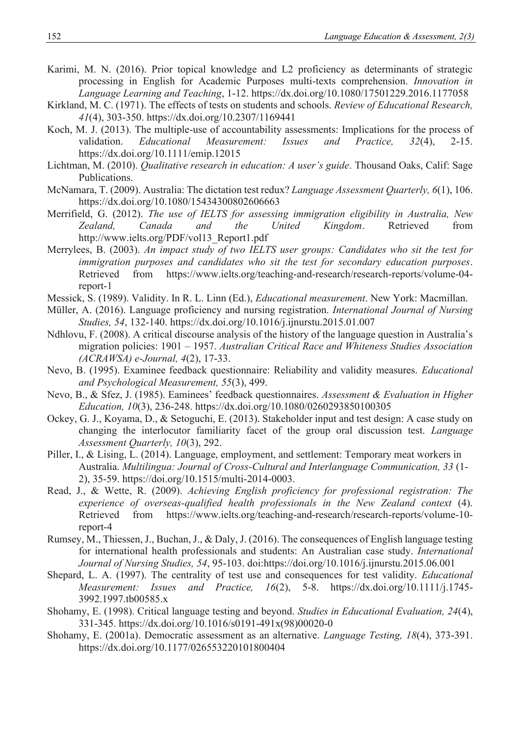- Karimi, M. N. (2016). Prior topical knowledge and L2 proficiency as determinants of strategic processing in English for Academic Purposes multi-texts comprehension. *Innovation in Language Learning and Teaching*, 1-12.<https://dx.doi.org/10.1080/17501229.2016.1177058>
- Kirkland, M. C. (1971). The effects of tests on students and schools. *Review of Educational Research, 41*(4), 303-350.<https://dx.doi.org/10.2307/1169441>
- Koch, M. J. (2013). The multiple-use of accountability assessments: Implications for the process of validation. *Educational Measurement: Issues and Practice*, 32(4), 2-15. validation. *Educational Measurement: Issues and Practice, 32*(4), 2-15. <https://dx.doi.org/10.1111/emip.12015>
- Lichtman, M. (2010). *Qualitative research in education: A user's guide*. Thousand Oaks, Calif: Sage Publications.
- McNamara, T. (2009). Australia: The dictation test redux? *Language Assessment Quarterly, 6*(1), 106. <https://dx.doi.org/10.1080/15434300802606663>
- Merrifield, G. (2012). *The use of IELTS for assessing immigration eligibility in Australia, New Zealand, Canada and the United Kingdom*. Retrieved from [http://www.ielts.org/PDF/vol13\\_Report1.pdf](http://www.ielts.org/PDF/vol13_Re)
- Merrylees, B. (2003). *An impact study of two IELTS user groups: Candidates who sit the test for immigration purposes and candidates who sit the test for secondary education purposes*. Retrieved from [https://www.ielts.org/teaching-and-research/research-reports/volume-04](https://www.ielts.org/teaching-and-research/research-reports/volume-04-report-1) [report-1](https://www.ielts.org/teaching-and-research/research-reports/volume-04-report-1)
- Messick, S. (1989). Validity. In R. L. Linn (Ed.), *Educational measurement*. New York: Macmillan.
- Müller, A. (2016). Language proficiency and nursing registration. *International Journal of Nursing Studies, 54*, 132-140.<https://dx.doi.org/10.1016/j.ijnurstu.2015.01.007>
- Ndhlovu, F. (2008). A critical discourse analysis of the history of the language question in Australia's migration policies: 1901 – 1957. *Australian Critical Race and Whiteness Studies Association (ACRAWSA) e-Journal, 4*(2), 17-33.
- Nevo, B. (1995). Examinee feedback questionnaire: Reliability and validity measures. *Educational and Psychological Measurement, 55*(3), 499.
- Nevo, B., & Sfez, J. (1985). Eaminees' feedback questionnaires. *Assessment & Evaluation in Higher Education, 10*(3), 236-248.<https://dx.doi.org/10.1080/0260293850100305>
- Ockey, G. J., Koyama, D., & Setoguchi, E. (2013). Stakeholder input and test design: A case study on changing the interlocutor familiarity facet of the group oral discussion test. *Language Assessment Quarterly, 10*(3), 292.
- Piller, I., & Lising, L. (2014). Language, employment, and settlement: Temporary meat workers in Australia. *Multilingua: Journal of Cross-Cultural and Interlanguage Communication, 33* (1- 2), 35-59. [https://doi.org/10.1515/multi-2014-0003.](https://doi.org/10.1515/multi-2014-0003)
- Read, J., & Wette, R. (2009). *Achieving English proficiency for professional registration: The experience of overseas-qualified health professionals in the New Zealand context* (4). Retrieved from [https://www.ielts.org/teaching-and-research/research-reports/volume-10](https://www.ielts.org/teaching-and-research/research-reports/volume-1) [report-4](https://www.ielts.org/teaching-and-research/research-reports/volume-1)
- Rumsey, M., Thiessen, J., Buchan, J., & Daly, J. (2016). The consequences of English language testing for international health professionals and students: An Australian case study. *International Journal of Nursing Studies, 54*, 95-103. doi[:https://doi.org/10.1016/j.ijnurstu.2015.06.001](https://doi.org/10.1016/j.ijnurstu.2015.06.001)
- Shepard, L. A. (1997). The centrality of test use and consequences for test validity. *Educational Measurement: Issues and Practice, 16*(2), 5-8. [https://dx.doi.org/10.1111/j.1745-](https://dx.doi.org/10.1111/j.1745-3992.1997.tb00585.x) [3992.1997.tb00585.x](https://dx.doi.org/10.1111/j.1745-3992.1997.tb00585.x)
- Shohamy, E. (1998). Critical language testing and beyond. *Studies in Educational Evaluation, 24*(4), 331-345. [https://dx.doi.org/10.1016/s0191-491x\(98\)00020-0](https://dx.doi.org/10.1016/s0191-491x(98)00020-0)
- Shohamy, E. (2001a). Democratic assessment as an alternative. *Language Testing, 18*(4), 373-391. <https://dx.doi.org/10.1177/026553220101800404>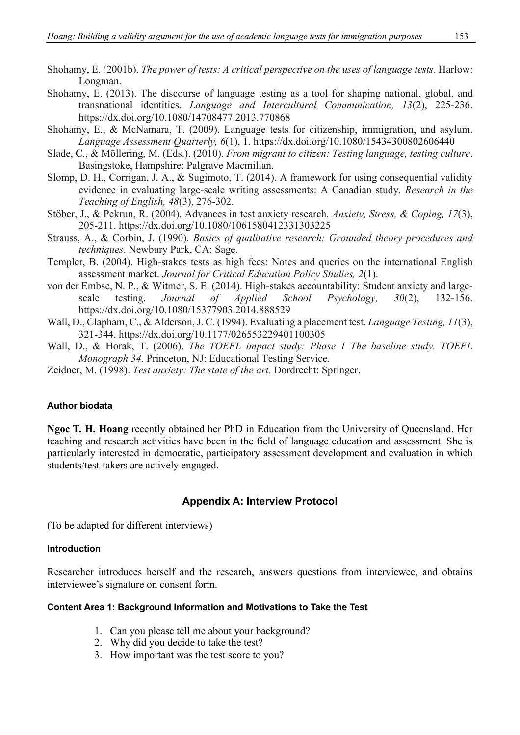Shohamy, E. (2001b). *The power of tests: A critical perspective on the uses of language tests*. Harlow: Longman.

- Shohamy, E. (2013). The discourse of language testing as a tool for shaping national, global, and transnational identities. *Language and Intercultural Communication, 13*(2), 225-236. <https://dx.doi.org/10.1080/14708477.2013.770868>
- Shohamy, E., & McNamara, T. (2009). Language tests for citizenship, immigration, and asylum. *Language Assessment Quarterly, 6*(1), 1.<https://dx.doi.org/10.1080/15434300802606440>
- Slade, C., & Möllering, M. (Eds.). (2010). *From migrant to citizen: Testing language, testing culture*. Basingstoke, Hampshire: Palgrave Macmillan.
- Slomp, D. H., Corrigan, J. A., & Sugimoto, T. (2014). A framework for using consequential validity evidence in evaluating large-scale writing assessments: A Canadian study. *Research in the Teaching of English, 48*(3), 276-302.
- Stöber, J., & Pekrun, R. (2004). Advances in test anxiety research. *Anxiety, Stress, & Coping, 17*(3), 205-211.<https://dx.doi.org/10.1080/1061580412331303225>
- Strauss, A., & Corbin, J. (1990). *Basics of qualitative research: Grounded theory procedures and techniques*. Newbury Park, CA: Sage.
- Templer, B. (2004). High-stakes tests as high fees: Notes and queries on the international English assessment market. *Journal for Critical Education Policy Studies, 2*(1).
- von der Embse, N. P., & Witmer, S. E. (2014). High-stakes accountability: Student anxiety and largescale testing. *Journal of Applied School Psychology, 30*(2), 132-156. <https://dx.doi.org/10.1080/15377903.2014.888529>
- Wall, D., Clapham, C., & Alderson, J. C. (1994). Evaluating a placement test. *Language Testing, 11*(3), 321-344.<https://dx.doi.org/10.1177/026553229401100305>
- Wall, D., & Horak, T. (2006). *The TOEFL impact study: Phase 1 The baseline study. TOEFL Monograph 34*. Princeton, NJ: Educational Testing Service.
- Zeidner, M. (1998). *Test anxiety: The state of the art*. Dordrecht: Springer.

#### **Author biodata**

**Ngoc T. H. Hoang** recently obtained her PhD in Education from the University of Queensland. Her teaching and research activities have been in the field of language education and assessment. She is particularly interested in democratic, participatory assessment development and evaluation in which students/test-takers are actively engaged.

#### **Appendix A: Interview Protocol**

(To be adapted for different interviews)

#### **Introduction**

Researcher introduces herself and the research, answers questions from interviewee, and obtains interviewee's signature on consent form.

#### **Content Area 1: Background Information and Motivations to Take the Test**

- 1. Can you please tell me about your background?
- 2. Why did you decide to take the test?
- 3. How important was the test score to you?